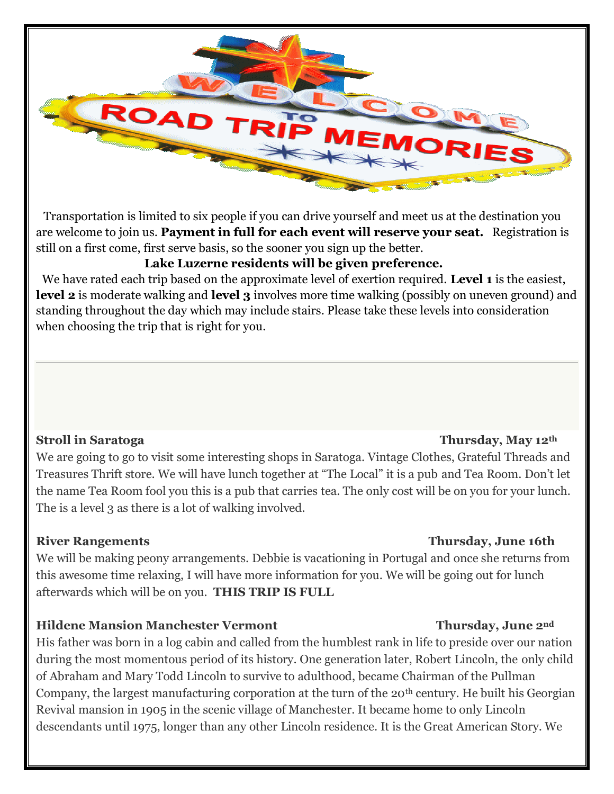

 Transportation is limited to six people if you can drive yourself and meet us at the destination you are welcome to join us. **Payment in full for each event will reserve your seat.** Registration is still on a first come, first serve basis, so the sooner you sign up the better.

# **Lake Luzerne residents will be given preference.**

 We have rated each trip based on the approximate level of exertion required. **Level 1** is the easiest, **level 2** is moderate walking and **level 3** involves more time walking (possibly on uneven ground) and standing throughout the day which may include stairs. Please take these levels into consideration when choosing the trip that is right for you.

## **Stroll in Saratoga Thursday, May 12th**

We are going to go to visit some interesting shops in Saratoga. Vintage Clothes, Grateful Threads and Treasures Thrift store. We will have lunch together at "The Local" it is a pub and Tea Room. Don't let the name Tea Room fool you this is a pub that carries tea. The only cost will be on you for your lunch. The is a level 3 as there is a lot of walking involved.

# **River Rangements Thursday, June 16th**

We will be making peony arrangements. Debbie is vacationing in Portugal and once she returns from this awesome time relaxing, I will have more information for you. We will be going out for lunch afterwards which will be on you. **THIS TRIP IS FULL**

# **Hildene Mansion Manchester Vermont Thursday, June 2nd**

His father was born in a log cabin and called from the humblest rank in life to preside over our nation during the most momentous period of its history. One generation later, Robert Lincoln, the only child of Abraham and Mary Todd Lincoln to survive to adulthood, became Chairman of the Pullman Company, the largest manufacturing corporation at the turn of the 20<sup>th</sup> century. He built his Georgian Revival mansion in 1905 in the scenic village of Manchester. It became home to only Lincoln descendants until 1975, longer than any other Lincoln residence. It is the Great American Story. We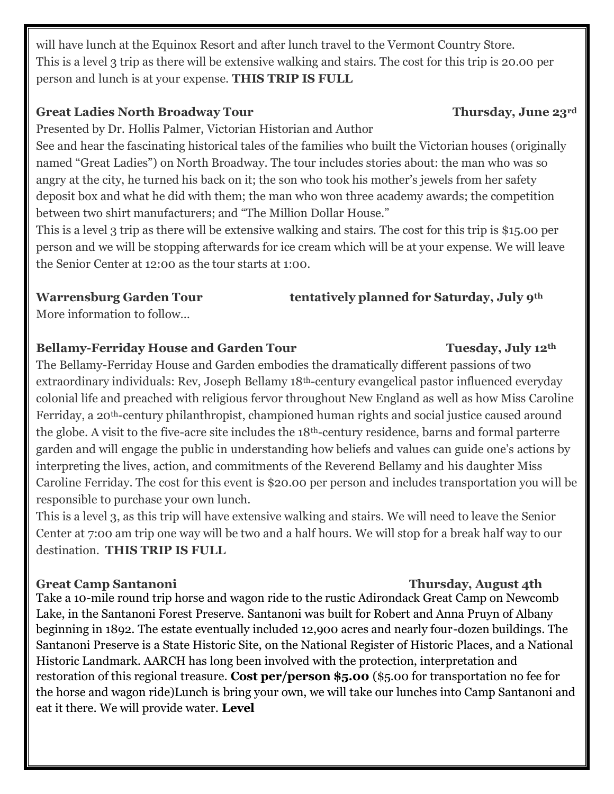will have lunch at the Equinox Resort and after lunch travel to the Vermont Country Store. This is a level 3 trip as there will be extensive walking and stairs. The cost for this trip is 20.00 per person and lunch is at your expense. **THIS TRIP IS FULL**

## Great Ladies North Broadway Tour Thursday, June 23<sup>rd</sup>

Presented by Dr. Hollis Palmer, Victorian Historian and Author

See and hear the fascinating historical tales of the families who built the Victorian houses (originally named "Great Ladies") on North Broadway. The tour includes stories about: the man who was so angry at the city, he turned his back on it; the son who took his mother's jewels from her safety deposit box and what he did with them; the man who won three academy awards; the competition between two shirt manufacturers; and "The Million Dollar House."

This is a level 3 trip as there will be extensive walking and stairs. The cost for this trip is \$15.00 per person and we will be stopping afterwards for ice cream which will be at your expense. We will leave the Senior Center at 12:00 as the tour starts at 1:00.

## **Warrensburg Garden Tour tentatively planned for Saturday, July 9th**

More information to follow…

# **Bellamy-Ferriday House and Garden Tour Tuesday, July 12th**

The Bellamy-Ferriday House and Garden embodies the dramatically different passions of two extraordinary individuals: Rev, Joseph Bellamy 18<sup>th</sup>-century evangelical pastor influenced everyday colonial life and preached with religious fervor throughout New England as well as how Miss Caroline Ferriday, a 20th-century philanthropist, championed human rights and social justice caused around the globe. A visit to the five-acre site includes the 18th-century residence, barns and formal parterre garden and will engage the public in understanding how beliefs and values can guide one's actions by interpreting the lives, action, and commitments of the Reverend Bellamy and his daughter Miss Caroline Ferriday. The cost for this event is \$20.00 per person and includes transportation you will be responsible to purchase your own lunch.

This is a level 3, as this trip will have extensive walking and stairs. We will need to leave the Senior Center at 7:00 am trip one way will be two and a half hours. We will stop for a break half way to our destination. **THIS TRIP IS FULL**

# **Great Camp Santanoni Thursday, August 4th**

Take a 10-mile round trip horse and wagon ride to the rustic Adirondack Great Camp on Newcomb Lake, in the Santanoni Forest Preserve. Santanoni was built for Robert and Anna Pruyn of Albany beginning in 1892. The estate eventually included 12,900 acres and nearly four-dozen buildings. The Santanoni Preserve is a State Historic Site, on the National Register of Historic Places, and a National Historic Landmark. AARCH has long been involved with the protection, interpretation and restoration of this regional treasure. **Cost per/person \$5.00** (\$5.00 for transportation no fee for the horse and wagon ride)Lunch is bring your own, we will take our lunches into Camp Santanoni and eat it there. We will provide water. **Level**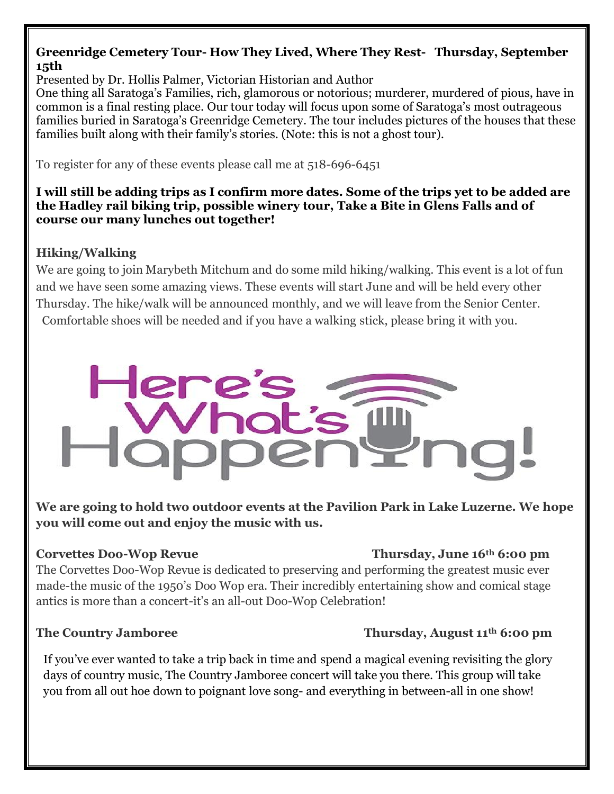## **Greenridge Cemetery Tour- How They Lived, Where They Rest- Thursday, September 15th**

Presented by Dr. Hollis Palmer, Victorian Historian and Author

One thing all Saratoga's Families, rich, glamorous or notorious; murderer, murdered of pious, have in common is a final resting place. Our tour today will focus upon some of Saratoga's most outrageous families buried in Saratoga's Greenridge Cemetery. The tour includes pictures of the houses that these families built along with their family's stories. (Note: this is not a ghost tour).

To register for any of these events please call me at 518-696-6451

### **I will still be adding trips as I confirm more dates. Some of the trips yet to be added are the Hadley rail biking trip, possible winery tour, Take a Bite in Glens Falls and of course our many lunches out together!**

# **Hiking/Walking**

We are going to join Marybeth Mitchum and do some mild hiking/walking. This event is a lot of fun and we have seen some amazing views. These events will start June and will be held every other Thursday. The hike/walk will be announced monthly, and we will leave from the Senior Center. Comfortable shoes will be needed and if you have a walking stick, please bring it with you.

# **Here**

**We are going to hold two outdoor events at the Pavilion Park in Lake Luzerne. We hope you will come out and enjoy the music with us.** 

## **Corvettes Doo-Wop Revue Thursday, June 16th 6:00 pm**

The Corvettes Doo-Wop Revue is dedicated to preserving and performing the greatest music ever made-the music of the 1950's Doo Wop era. Their incredibly entertaining show and comical stage antics is more than a concert-it's an all-out Doo-Wop Celebration!

# **The Country Jamboree Thursday, August 11<sup>th</sup> 6:00 pm**

If you've ever wanted to take a trip back in time and spend a magical evening revisiting the glory days of country music, The Country Jamboree concert will take you there. This group will take you from all out hoe down to poignant love song- and everything in between-all in one show!